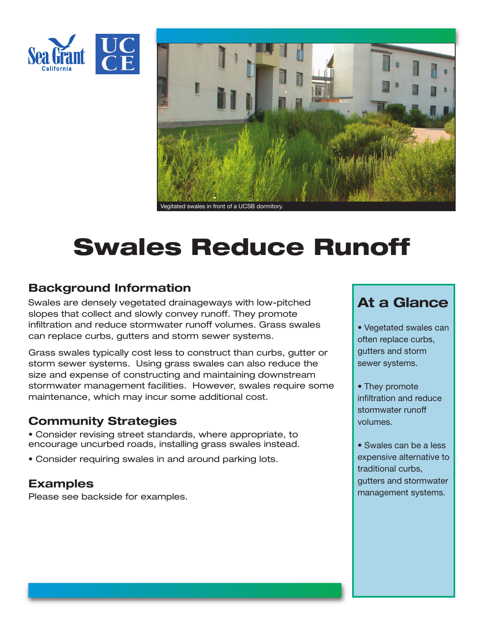



# **Swales Reduce Runoff**

### **Background Information**

Swales are densely vegetated drainageways with low-pitched slopes that collect and slowly convey runoff. They promote infiltration and reduce stormwater runoff volumes. Grass swales can replace curbs, gutters and storm sewer systems.

Grass swales typically cost less to construct than curbs, gutter or storm sewer systems. Using grass swales can also reduce the size and expense of constructing and maintaining downstream stormwater management facilities. However, swales require some maintenance, which may incur some additional cost.

#### **Community Strategies**

• Consider revising street standards, where appropriate, to encourage uncurbed roads, installing grass swales instead.

• Consider requiring swales in and around parking lots.

#### **Examples**

Please see backside for examples.

## **At a Glance**

- Vegetated swales can often replace curbs, gutters and storm sewer systems.
- They promote infiltration and reduce stormwater runoff volumes.
- Swales can be a less expensive alternative to traditional curbs, gutters and stormwater management systems.